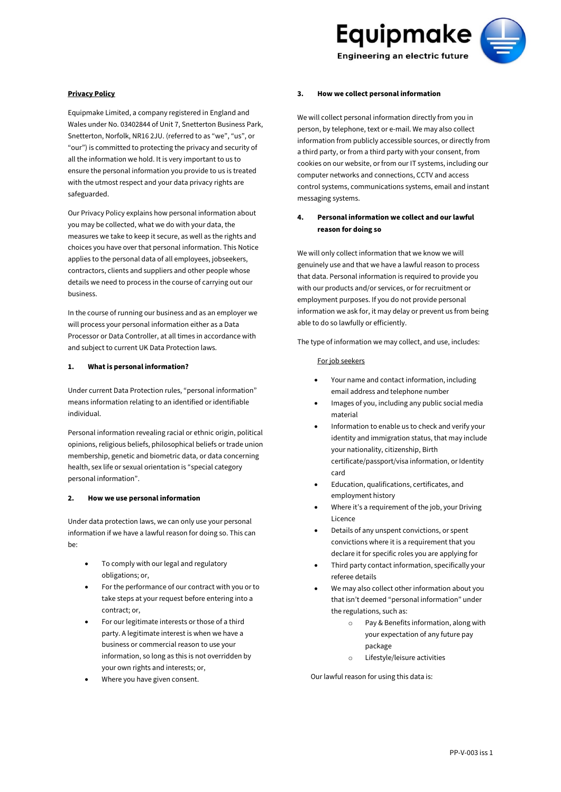

#### **Privacy Policy**

Equipmake Limited, a company registered in England and Wales under No. 03402844 of Unit 7, Snetterton Business Park, Snetterton, Norfolk, NR16 2JU. (referred to as "we", "us", or "our") is committed to protecting the privacy and security of all the information we hold. It is very important to us to ensure the personal information you provide to us is treated with the utmost respect and your data privacy rights are safeguarded.

Our Privacy Policy explains how personal information about you may be collected, what we do with your data, the measures we take to keep it secure, as well as the rights and choices you have over that personal information. This Notice applies to the personal data of all employees, jobseekers, contractors, clients and suppliers and other people whose details we need to process in the course of carrying out our business.

In the course of running our business and as an employer we will process your personal information either as a Data Processor or Data Controller, at all times in accordance with and subject to current UK Data Protection laws.

# **1. What is personal information?**

Under current Data Protection rules, "personal information" means information relating to an identified or identifiable individual.

Personal information revealing racial or ethnic origin, political opinions, religious beliefs, philosophical beliefs or trade union membership, genetic and biometric data, or data concerning health, sex life or sexual orientation is "special category personal information".

#### **2. How we use personal information**

Under data protection laws, we can only use your personal information if we have a lawful reason for doing so. This can be:

- To comply with our legal and regulatory obligations; or,
- For the performance of our contract with you or to take steps at your request before entering into a contract; or,
- For our legitimate interests or those of a third party. A legitimate interest is when we have a business or commercial reason to use your information, so long as this is not overridden by your own rights and interests; or,
- Where you have given consent.

#### **3. How we collect personal information**

We will collect personal information directly from you in person, by telephone, text or e-mail. We may also collect information from publicly accessible sources, or directly from a third party, or from a third party with your consent, from cookies on our website, or from our IT systems, including our computer networks and connections, CCTV and access control systems, communications systems, email and instant messaging systems.

# **4. Personal information we collect and our lawful reason for doing so**

We will only collect information that we know we will genuinely use and that we have a lawful reason to process that data. Personal information is required to provide you with our products and/or services, or for recruitment or employment purposes. If you do not provide personal information we ask for, it may delay or prevent us from being able to do so lawfully or efficiently.

The type of information we may collect, and use, includes:

#### For job seekers

- Your name and contact information, including email address and telephone number
- Images of you, including any public social media material
- Information to enable us to check and verify your identity and immigration status, that may include your nationality, citizenship, Birth certificate/passport/visa information, or Identity card
- Education, qualifications, certificates, and employment history
- Where it's a requirement of the job, your Driving Licence
- Details of any unspent convictions, or spent convictions where it is a requirement that you declare it for specific roles you are applying for
- Third party contact information, specifically your referee details
- We may also collect other information about you that isn't deemed "personal information" under the regulations, such as:
	- o Pay & Benefits information, along with your expectation of any future pay package
	- o Lifestyle/leisure activities

Our lawful reason for using this data is: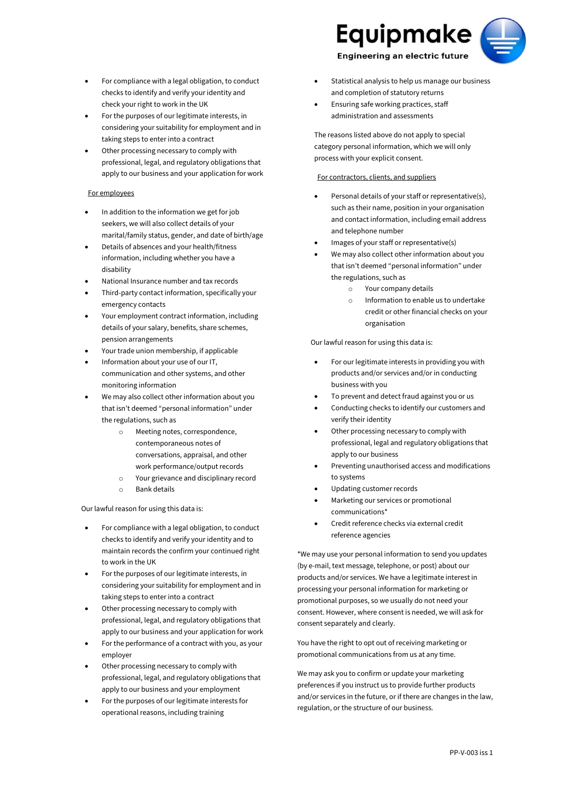- For compliance with a legal obligation, to conduct checks to identify and verify your identity and check your right to work in the UK
- For the purposes of our legitimate interests, in considering your suitability for employment and in taking steps to enter into a contract
- Other processing necessary to comply with professional, legal, and regulatory obligations that apply to our business and your application for work

# For employees

- In addition to the information we get for job seekers, we will also collect details of your marital/family status, gender, and date of birth/age
- Details of absences and your health/fitness information, including whether you have a disability
- National Insurance number and tax records
- Third-party contact information, specifically your emergency contacts
- Your employment contract information, including details of your salary, benefits, share schemes, pension arrangements
- Your trade union membership, if applicable
- Information about your use of our IT, communication and other systems, and other monitoring information
- We may also collect other information about you that isn't deemed "personal information" under the regulations, such as
	- o Meeting notes, correspondence, contemporaneous notes of conversations, appraisal, and other work performance/output records
	- o Your grievance and disciplinary record
	- o Bank details

# Our lawful reason for using this data is:

- For compliance with a legal obligation, to conduct checks to identify and verify your identity and to maintain records the confirm your continued right to work in the UK
- For the purposes of our legitimate interests, in considering your suitability for employment and in taking steps to enter into a contract
- Other processing necessary to comply with professional, legal, and regulatory obligations that apply to our business and your application for work
- For the performance of a contract with you, as your employer
- Other processing necessary to comply with professional, legal, and regulatory obligations that apply to our business and your employment
- For the purposes of our legitimate interests for operational reasons, including training



- Statistical analysis to help us manage our business and completion of statutory returns
- Ensuring safe working practices, staff administration and assessments

The reasons listed above do not apply to special category personal information, which we will only process with your explicit consent.

#### For contractors, clients, and suppliers

- Personal details of your staff or representative(s), such as their name, position in your organisation and contact information, including email address and telephone number
- Images of your staff or representative(s)
- We may also collect other information about you that isn't deemed "personal information" under the regulations, such as
	- o Your company details
	- o Information to enable us to undertake credit or other financial checks on your organisation

Our lawful reason for using this data is:

- For our legitimate interests in providing you with products and/or services and/or in conducting business with you
- To prevent and detect fraud against you or us
- Conducting checks to identify our customers and verify their identity
- Other processing necessary to comply with professional, legal and regulatory obligations that apply to our business
- Preventing unauthorised access and modifications to systems
- Updating customer records
- Marketing our services or promotional communications\*
- Credit reference checks via external credit reference agencies

\*We may use your personal information to send you updates (by e-mail, text message, telephone, or post) about our products and/or services. We have a legitimate interest in processing your personal information for marketing or promotional purposes, so we usually do not need your consent. However, where consent is needed, we will ask for consent separately and clearly.

You have the right to opt out of receiving marketing or promotional communications from us at any time.

We may ask you to confirm or update your marketing preferences if you instruct us to provide further products and/or services in the future, or if there are changes in the law, regulation, or the structure of our business.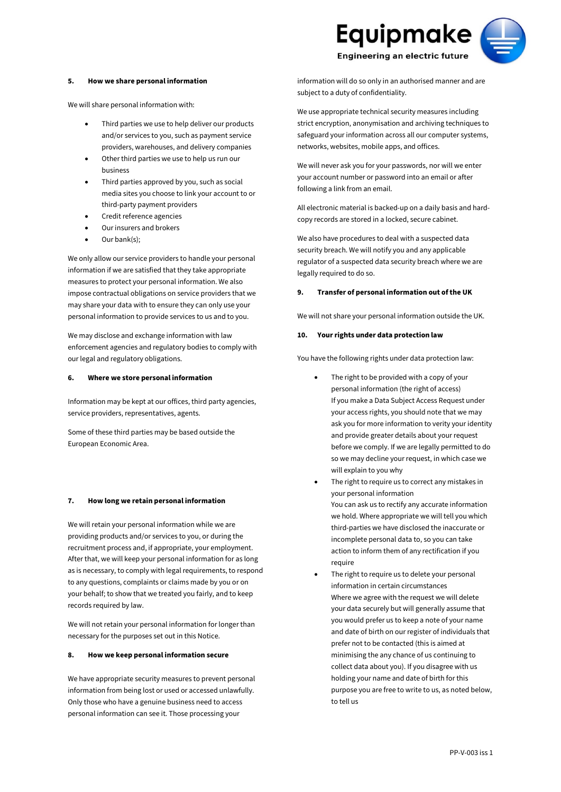#### **5. How we share personal information**

We will share personal information with:

- Third parties we use to help deliver our products and/or services to you, such as payment service providers, warehouses, and delivery companies
- Other third parties we use to help us run our business
- Third parties approved by you, such as social media sites you choose to link your account to or third-party payment providers
- Credit reference agencies
- Our insurers and brokers
- Our bank(s);

We only allow our service providers to handle your personal information if we are satisfied that they take appropriate measures to protect your personal information. We also impose contractual obligations on service providers that we may share your data with to ensure they can only use your personal information to provide services to us and to you.

We may disclose and exchange information with law enforcement agencies and regulatory bodies to comply with our legal and regulatory obligations.

# **6. Where we store personal information**

Information may be kept at our offices, third party agencies, service providers, representatives, agents.

Some of these third parties may be based outside the European Economic Area.

#### **7. How long we retain personal information**

We will retain your personal information while we are providing products and/or services to you, or during the recruitment process and, if appropriate, your employment. After that, we will keep your personal information for as long as is necessary, to comply with legal requirements, to respond to any questions, complaints or claims made by you or on your behalf; to show that we treated you fairly, and to keep records required by law.

We will not retain your personal information for longer than necessary for the purposes set out in this Notice.

### **8. How we keep personal information secure**

We have appropriate security measures to prevent personal information from being lost or used or accessed unlawfully. Only those who have a genuine business need to access personal information can see it. Those processing your



information will do so only in an authorised manner and are subject to a duty of confidentiality.

We use appropriate technical security measures including strict encryption, anonymisation and archiving techniques to safeguard your information across all our computer systems, networks, websites, mobile apps, and offices.

We will never ask you for your passwords, nor will we enter your account number or password into an email or after following a link from an email.

All electronic material is backed-up on a daily basis and hardcopy records are stored in a locked, secure cabinet.

We also have procedures to deal with a suspected data security breach. We will notify you and any applicable regulator of a suspected data security breach where we are legally required to do so.

### **9. Transfer of personal information out of the UK**

We will not share your personal information outside the UK.

# **10. Your rights under data protection law**

You have the following rights under data protection law:

- The right to be provided with a copy of your personal information (the right of access) If you make a Data Subject Access Request under your access rights, you should note that we may ask you for more information to verity your identity and provide greater details about your request before we comply. If we are legally permitted to do so we may decline your request, in which case we will explain to you why
- The right to require us to correct any mistakes in your personal information You can ask us to rectify any accurate information we hold. Where appropriate we will tell you which third-parties we have disclosed the inaccurate or incomplete personal data to, so you can take action to inform them of any rectification if you require
- The right to require us to delete your personal information in certain circumstances Where we agree with the request we will delete your data securely but will generally assume that you would prefer us to keep a note of your name and date of birth on our register of individuals that prefer not to be contacted (this is aimed at minimising the any chance of us continuing to collect data about you). If you disagree with us holding your name and date of birth for this purpose you are free to write to us, as noted below, to tell us